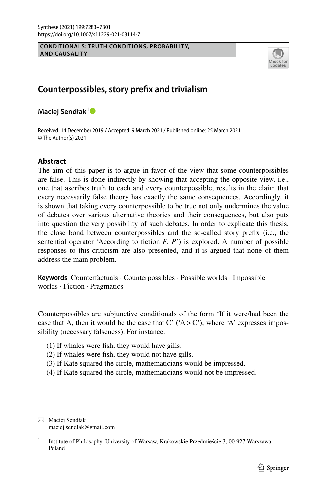#### **CONDITIONALS: TRUTH CONDITIONS, PROBABILITY, AND CAUSALITY**



# **Counterpossibles, story prefx and trivialism**

**Maciej Sendłak[1](http://orcid.org/0000-0002-0539-5924)**

Received: 14 December 2019 / Accepted: 9 March 2021 / Published online: 25 March 2021 © The Author(s) 2021

# **Abstract**

The aim of this paper is to argue in favor of the view that some counterpossibles are false. This is done indirectly by showing that accepting the opposite view, i.e., one that ascribes truth to each and every counterpossible, results in the claim that every necessarily false theory has exactly the same consequences. Accordingly, it is shown that taking every counterpossible to be true not only undermines the value of debates over various alternative theories and their consequences, but also puts into question the very possibility of such debates. In order to explicate this thesis, the close bond between counterpossibles and the so-called story prefx (i.e., the sentential operator 'According to fiction  $F, P'$ ) is explored. A number of possible responses to this criticism are also presented, and it is argued that none of them address the main problem.

**Keywords** Counterfactuals · Counterpossibles · Possible worlds · Impossible worlds · Fiction · Pragmatics

Counterpossibles are subjunctive conditionals of the form 'If it were/had been the case that A, then it would be the case that  $C'$  ('A  $>$  C'), where 'A' expresses impossibility (necessary falseness). For instance:

- (1) If whales were fsh, they would have gills.
- (2) If whales were fsh, they would not have gills.
- (3) If Kate squared the circle, mathematicians would be impressed.
- (4) If Kate squared the circle, mathematicians would not be impressed.

 $\boxtimes$  Maciej Sendłak maciej.sendlak@gmail.com

<sup>&</sup>lt;sup>1</sup> Institute of Philosophy, University of Warsaw, Krakowskie Przedmieście 3, 00-927 Warszawa, Poland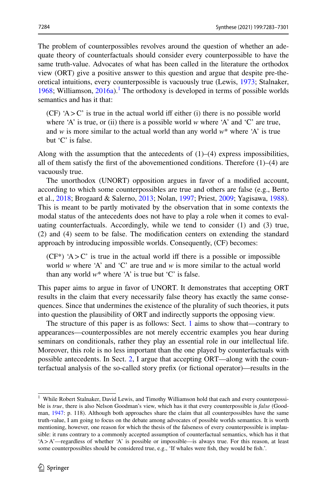The problem of counterpossibles revolves around the question of whether an adequate theory of counterfactuals should consider every counterpossible to have the same truth-value. Advocates of what has been called in the literature the orthodox view (ORT) give a positive answer to this question and argue that despite pre-theoretical intuitions, every counterpossible is vacuously true (Lewis, [1973;](#page-18-0) Stalnaker, [1968](#page-18-1); Williamson,  $2016a$ <sup>1</sup>. The orthodoxy is developed in terms of possible worlds semantics and has it that:

(CF)  $A > C'$  is true in the actual world iff either (i) there is no possible world where 'A' is true, or (ii) there is a possible world *w* where 'A' and 'C' are true, and *w* is more similar to the actual world than any world  $w^*$  where 'A' is true but 'C' is false.

Along with the assumption that the antecedents of  $(1)$ – $(4)$  express impossibilities, all of them satisfy the first of the abovementioned conditions. Therefore  $(1)$ – $(4)$  are vacuously true.

The unorthodox (UNORT) opposition argues in favor of a modifed account, according to which some counterpossibles are true and others are false (e.g., Berto et al., [2018](#page-17-0); Brogaard & Salerno, [2013](#page-17-1); Nolan, [1997;](#page-18-3) Priest, [2009](#page-18-4); Yagisawa, [1988\)](#page-18-5). This is meant to be partly motivated by the observation that in some contexts the modal status of the antecedents does not have to play a role when it comes to evaluating counterfactuals. Accordingly, while we tend to consider (1) and (3) true, (2) and (4) seem to be false. The modifcation centers on extending the standard approach by introducing impossible worlds. Consequently, (CF) becomes:

 $(CF^*)$  'A > C' is true in the actual world iff there is a possible or impossible world *w* where 'A' and 'C' are true and *w* is more similar to the actual world than any world  $w^*$  where 'A' is true but 'C' is false.

This paper aims to argue in favor of UNORT. It demonstrates that accepting ORT results in the claim that every necessarily false theory has exactly the same consequences. Since that undermines the existence of the plurality of such theories, it puts into question the plausibility of ORT and indirectly supports the opposing view.

The structure of this paper is as follows: Sect. [1](#page-3-0) aims to show that—contrary to appearances—counterpossibles are not merely eccentric examples you hear during seminars on conditionals, rather they play an essential role in our intellectual life. Moreover, this role is no less important than the one played by counterfactuals with possible antecedents. In Sect. [2](#page-3-0), I argue that accepting ORT—along with the counterfactual analysis of the so-called story prefx (or fctional operator)—results in the

<span id="page-1-0"></span><sup>&</sup>lt;sup>1</sup> While Robert Stalnaker, David Lewis, and Timothy Williamson hold that each and every counterpossible is *true*, there is also Nelson Goodman's view, which has it that every counterpossible is *false* (Goodman, [1947:](#page-18-6) p. 118). Although both approaches share the claim that all counterpossibles have the same truth-value, I am going to focus on the debate among advocates of possible worlds semantics. It is worth mentioning, however, one reason for which the thesis of the falseness of every counterpossible is implausible: it runs contrary to a commonly accepted assumption of counterfactual semantics, which has it that 'A>A'—regardless of whether 'A' is possible or impossible—is always true. For this reason, at least some counterpossibles should be considered true, e.g., 'If whales were fsh, they would be fsh.'.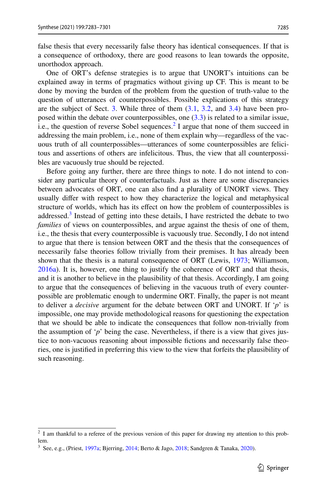false thesis that every necessarily false theory has identical consequences. If that is a consequence of orthodoxy, there are good reasons to lean towards the opposite, unorthodox approach.

One of ORT's defense strategies is to argue that UNORT's intuitions can be explained away in terms of pragmatics without giving up CF. This is meant to be done by moving the burden of the problem from the question of truth-value to the question of utterances of counterpossibles. Possible explications of this strategy are the subject of Sect. [3](#page-5-0). While three of them [\(3.1,](#page-7-0) [3.2](#page-9-0), and [3.4](#page-14-0)) have been proposed within the debate over counterpossibles, one ([3.3](#page-10-0)) is related to a similar issue, i.e., the question of reverse Sobel sequences.<sup>[2](#page-2-0)</sup> I argue that none of them succeed in addressing the main problem, i.e., none of them explain why—regardless of the vacuous truth of all counterpossibles—utterances of some counterpossibles are felicitous and assertions of others are infelicitous. Thus, the view that all counterpossibles are vacuously true should be rejected.

Before going any further, there are three things to note. I do not intend to consider any particular theory of counterfactuals. Just as there are some discrepancies between advocates of ORT, one can also fnd a plurality of UNORT views. They usually difer with respect to how they characterize the logical and metaphysical structure of worlds, which has its efect on how the problem of counterpossibles is addressed. $3$  Instead of getting into these details, I have restricted the debate to two *families* of views on counterpossibles, and argue against the thesis of one of them, i.e., the thesis that every counterpossible is vacuously true. Secondly, I do not intend to argue that there is tension between ORT and the thesis that the consequences of necessarily false theories follow trivially from their premises. It has already been shown that the thesis is a natural consequence of ORT (Lewis, [1973](#page-18-0); Williamson, [2016a](#page-18-2)). It is, however, one thing to justify the coherence of ORT and that thesis, and it is another to believe in the plausibility of that thesis. Accordingly, I am going to argue that the consequences of believing in the vacuous truth of every counterpossible are problematic enough to undermine ORT. Finally, the paper is not meant to deliver a *decisive* argument for the debate between ORT and UNORT. If '*p*' is impossible, one may provide methodological reasons for questioning the expectation that we should be able to indicate the consequences that follow non-trivially from the assumption of ' $p$ ' being the case. Nevertheless, if there is a view that gives justice to non-vacuous reasoning about impossible fctions and necessarily false theories, one is justifed in preferring this view to the view that forfeits the plausibility of such reasoning.

<span id="page-2-0"></span><sup>&</sup>lt;sup>2</sup> I am thankful to a referee of the previous version of this paper for drawing my attention to this problem.

<span id="page-2-1"></span><sup>3</sup> See, e.g., (Priest, [1997a](#page-18-7); Bjerring, [2014;](#page-17-2) Berto & Jago, [2018;](#page-17-3) Sandgren & Tanaka, [2020\)](#page-18-8).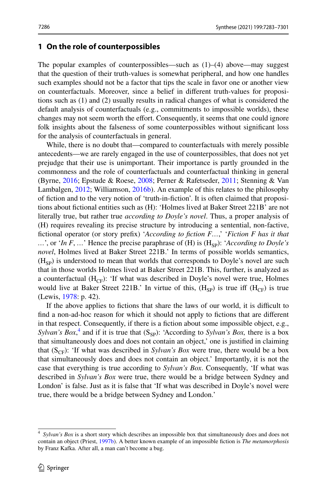## <span id="page-3-0"></span>**1 On the role of counterpossibles**

The popular examples of counterpossibles—such as  $(1)$ – $(4)$  above—may suggest that the question of their truth-values is somewhat peripheral, and how one handles such examples should not be a factor that tips the scale in favor one or another view on counterfactuals. Moreover, since a belief in diferent truth-values for propositions such as (1) and (2) usually results in radical changes of what is considered the default analysis of counterfactuals (e.g., commitments to impossible worlds), these changes may not seem worth the effort. Consequently, it seems that one could ignore folk insights about the falseness of some counterpossibles without signifcant loss for the analysis of counterfactuals in general.

While, there is no doubt that—compared to counterfactuals with merely possible antecedents—we are rarely engaged in the use of counterpossibles, that does not yet prejudge that their use is unimportant. Their importance is partly grounded in the commonness and the role of counterfactuals and counterfactual thinking in general (Byrne, [2016](#page-17-4); Epstude & Roese, [2008](#page-17-5); Perner & Rafetseder, [2011;](#page-18-9) Stenning & Van Lambalgen, [2012;](#page-18-10) Williamson, [2016b\)](#page-18-11). An example of this relates to the philosophy of fction and to the very notion of 'truth-in-fction'. It is often claimed that propositions about fctional entities such as (H): 'Holmes lived at Baker Street 221B' are not literally true, but rather true *according to Doyle's novel*. Thus, a proper analysis of (H) requires revealing its precise structure by introducing a sentential, non-factive, fctional operator (or story prefx) '*According to fction F…*,' '*Fiction F has it that*  …', or '*In F*, …' Hence the precise paraphrase of (*H*) is (*H*<sub>SP</sub>): '*According to Doyle's novel*, Holmes lived at Baker Street 221B.' In terms of possible worlds semantics,  $(H<sub>sp</sub>)$  is understood to mean that worlds that corresponds to Doyle's novel are such that in those worlds Holmes lived at Baker Street 221B. This, further, is analyzed as a counterfactual  $(H_{CF})$ : 'If what was described in Doyle's novel were true, Holmes would live at Baker Street 221B.' In virtue of this,  $(H_{\rm CP})$  is true iff  $(H_{\rm CF})$  is true (Lewis, [1978:](#page-18-12) p. 42).

If the above applies to fictions that share the laws of our world, it is difficult to fnd a non-ad-hoc reason for which it should not apply to fctions that are diferent in that respect. Consequently, if there is a fiction about some impossible object, e.g., *Sylvan's Box*,<sup>[4](#page-3-1)</sup> and if it is true that  $(S_{SP})$ : 'According to *Sylvan's Box*, there is a box that simultaneously does and does not contain an object,' one is justifed in claiming that  $(S<sub>CF</sub>)$ : 'If what was described in *Sylvan's Box* were true, there would be a box that simultaneously does and does not contain an object.' Importantly, it is not the case that everything is true according to *Sylvan's Box*. Consequently, 'If what was described in *Sylvan's Box* were true, there would be a bridge between Sydney and London' is false. Just as it is false that 'If what was described in Doyle's novel were true, there would be a bridge between Sydney and London.'

<span id="page-3-1"></span>*Sylvan's Box* is a short story which describes an impossible box that simultaneously does and does not contain an object (Priest, [1997b](#page-18-13)). A better known example of an impossible fction is *The metamorphosis* by Franz Kafka. After all, a man can't become a bug.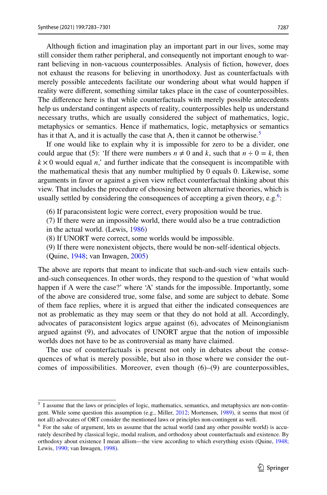Although fction and imagination play an important part in our lives, some may still consider them rather peripheral, and consequently not important enough to warrant believing in non-vacuous counterpossibles. Analysis of fiction, however, does not exhaust the reasons for believing in unorthodoxy. Just as counterfactuals with merely possible antecedents facilitate our wondering about what would happen if reality were diferent, something similar takes place in the case of counterpossibles. The diference here is that while counterfactuals with merely possible antecedents help us understand contingent aspects of reality, counterpossibles help us understand necessary truths, which are usually considered the subject of mathematics, logic, metaphysics or semantics. Hence if mathematics, logic, metaphysics or semantics has it that A, and it is actually the case that A, then it cannot be otherwise. $5$ 

If one would like to explain why it is impossible for zero to be a divider, one could argue that (5): 'If there were numbers  $n \neq 0$  and k, such that  $n \div 0 = k$ , then  $k \times 0$  would equal *n*,' and further indicate that the consequent is incompatible with the mathematical thesis that any number multiplied by 0 equals 0. Likewise, some arguments in favor or against a given view refect counterfactual thinking about this view. That includes the procedure of choosing between alternative theories, which is usually settled by considering the consequences of accepting a given theory, e.g.<sup>[6](#page-4-1)</sup>:

- (6) If paraconsistent logic were correct, every proposition would be true.
- (7) If there were an impossible world, there would also be a true contradiction in the actual world. (Lewis, [1986](#page-18-14))
- (8) If UNORT were correct, some worlds would be impossible.
- (9) If there were nonexistent objects, there would be non-self-identical objects.
- (Quine, [1948](#page-18-15); van Inwagen, [2005\)](#page-18-16)

The above are reports that meant to indicate that such-and-such view entails suchand-such consequences. In other words, they respond to the question of 'what would happen if A were the case?' where 'A' stands for the impossible. Importantly, some of the above are considered true, some false, and some are subject to debate. Some of them face replies, where it is argued that either the indicated consequences are not as problematic as they may seem or that they do not hold at all. Accordingly, advocates of paraconsistent logics argue against (6), advocates of Meinongianism argued against (9), and advocates of UNORT argue that the notion of impossible worlds does not have to be as controversial as many have claimed.

The use of counterfactuals is present not only in debates about the consequences of what is merely possible, but also in those where we consider the outcomes of impossibilities. Moreover, even though  $(6)$ – $(9)$  are counterpossibles,

<span id="page-4-0"></span><sup>5</sup> I assume that the laws or principles of logic, mathematics, semantics, and metaphysics are non-contin-gent. While some question this assumption (e.g., Miller, [2012](#page-18-17); Mortensen, [1989\)](#page-18-18), it seems that most (if not all) advocates of ORT consider the mentioned laws or principles non-contingent as well.

<span id="page-4-1"></span><sup>&</sup>lt;sup>6</sup> For the sake of argument, lets us assume that the actual world (and any other possible world) is accurately described by classical logic, modal realism, and orthodoxy about counterfactuals and existence. By orthodoxy about existence I mean allism—the view according to which everything exists (Quine, [1948](#page-18-15); Lewis, [1990](#page-18-19); van Inwagen, [1998\)](#page-18-20).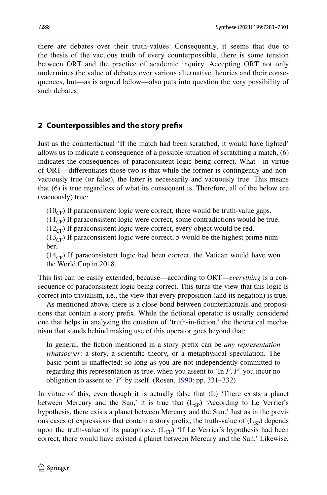there are debates over their truth-values. Consequently, it seems that due to the thesis of the vacuous truth of every counterpossible, there is some tension between ORT and the practice of academic inquiry. Accepting ORT not only undermines the value of debates over various alternative theories and their consequences, but—as is argued below—also puts into question the very possibility of such debates.

# <span id="page-5-0"></span>**2 Counterpossibles and the story prefx**

Just as the counterfactual 'If the match had been scratched, it would have lighted' allows us to indicate a consequence of a possible situation of scratching a match, (6) indicates the consequences of paraconsistent logic being correct. What—in virtue of ORT—diferentiates those two is that while the former is contingently and nonvacuously true (or false), the latter is necessarily and vacuously true. This means that (6) is true regardless of what its consequent is. Therefore, all of the below are (vacuously) true:

 $(10_{CF})$  If paraconsistent logic were correct, there would be truth-value gaps.

 $(11_{CF})$  If paraconsistent logic were correct, some contradictions would be true.

 $(12_{CF})$  If paraconsistent logic were correct, every object would be red.

 $(13<sub>CF</sub>)$  If paraconsistent logic were correct, 5 would be the highest prime number.

 $(14<sub>CF</sub>)$  If paraconsistent logic had been correct, the Vatican would have won the World Cup in 2018.

This list can be easily extended, because—according to ORT—*everything* is a consequence of paraconsistent logic being correct. This turns the view that this logic is correct into trivialism, i.e., the view that every proposition (and its negation) is true.

As mentioned above, there is a close bond between counterfactuals and propositions that contain a story prefx. While the fctional operator is usually considered one that helps in analyzing the question of 'truth-in-fction,' the theoretical mechanism that stands behind making use of this operator goes beyond that:

In general, the fction mentioned in a story prefx can be *any representation whatsoever*: a story, a scientifc theory, or a metaphysical speculation. The basic point is unafected: so long as you are not independently committed to regarding this representation as true, when you assent to 'In *F*, *P*' you incur no obligation to assent to '*P*' by itself. (Rosen, [1990](#page-18-21): pp. 331–332)

In virtue of this, even though it is actually false that (L) 'There exists a planet between Mercury and the Sun,' it is true that  $(L_{SP})$  'According to Le Verrier's hypothesis, there exists a planet between Mercury and the Sun.' Just as in the previous cases of expressions that contain a story prefix, the truth-value of  $(L_{SP})$  depends upon the truth-value of its paraphrase,  $(L_{CF})$  'If Le Verrier's hypothesis had been correct, there would have existed a planet between Mercury and the Sun.' Likewise,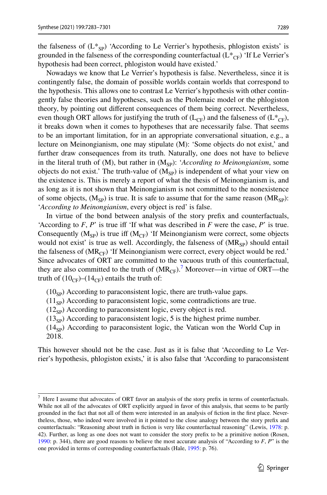the falseness of  $(L^*_{\text{SP}})$  'According to Le Verrier's hypothesis, phlogiston exists' is grounded in the falseness of the corresponding counterfactual  $(L^*_{CF})$  'If Le Verrier's hypothesis had been correct, phlogiston would have existed.'

Nowadays we know that Le Verrier's hypothesis is false. Nevertheless, since it is contingently false, the domain of possible worlds contain worlds that correspond to the hypothesis. This allows one to contrast Le Verrier's hypothesis with other contingently false theories and hypotheses, such as the Ptolemaic model or the phlogiston theory, by pointing out diferent consequences of them being correct. Nevertheless, even though ORT allows for justifying the truth of  $(L_{CF})$  and the falseness of  $(L_{CF}^*)$ , it breaks down when it comes to hypotheses that are necessarily false. That seems to be an important limitation, for in an appropriate conversational situation, e.g., a lecture on Meinongianism, one may stipulate (M): 'Some objects do not exist,' and further draw consequences from its truth. Naturally, one does not have to believe in the literal truth of  $(M)$ , but rather in  $(M_{sp})$ : '*According to Meinongianism*, some objects do not exist.' The truth-value of  $(M_{\rm sp})$  is independent of what your view on the existence is. This is merely a report of what the thesis of Meinongianism is, and as long as it is not shown that Meinongianism is not committed to the nonexistence of some objects,  $(M_{SP})$  is true. It is safe to assume that for the same reason  $(MR_{SP})$ : '*According to Meinongianism*, every object is red' is false.

In virtue of the bond between analysis of the story prefx and counterfactuals, 'According to  $F$ ,  $P$ ' is true iff 'If what was described in  $F$  were the case,  $P$ ' is true. Consequently  $(M_{SP})$  is true iff  $(M_{CF})$  'If Meinongianism were correct, some objects would not exist' is true as well. Accordingly, the falseness of  $(MR_{SP})$  should entail the falseness of  $(MR_{CF})$  'If Meinongianism were correct, every object would be red.' Since advocates of ORT are committed to the vacuous truth of this counterfactual, they are also committed to the truth of  $(MR_{CF})$ .<sup>[7](#page-6-0)</sup> Moreover—in virtue of ORT—the truth of  $(10_{CF})$ – $(14_{CF})$  entails the truth of:

- $(10<sub>SP</sub>)$  According to paraconsistent logic, there are truth-value gaps.
- $(11<sub>SP</sub>)$  According to paraconsistent logic, some contradictions are true.
- $(12<sub>SP</sub>)$  According to paraconsistent logic, every object is red.
- $(13<sub>SP</sub>)$  According to paraconsistent logic, 5 is the highest prime number.
- $(14<sub>SP</sub>)$  According to paraconsistent logic, the Vatican won the World Cup in 2018.

This however should not be the case. Just as it is false that 'According to Le Verrier's hypothesis, phlogiston exists,' it is also false that 'According to paraconsistent

<span id="page-6-0"></span> $<sup>7</sup>$  Here I assume that advocates of ORT favor an analysis of the story prefix in terms of counterfactuals.</sup> While not all of the advocates of ORT explicitly argued in favor of this analysis, that seems to be partly grounded in the fact that not all of them were interested in an analysis of fction in the frst place. Nevertheless, those, who indeed were involved in it pointed to the close analogy between the story prefx and counterfactuals: "Reasoning about truth in fction is very like counterfactual reasoning" (Lewis, [1978:](#page-18-12) p. 42). Further, as long as one does not want to consider the story prefx to be a primitive notion (Rosen, [1990](#page-18-21): p. 344), there are good reasons to believe the most accurate analysis of "According to *F*, *P*" is the one provided in terms of corresponding counterfactuals (Hale, [1995](#page-18-22): p. 76).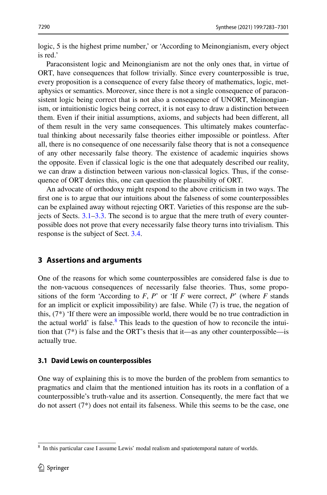logic, 5 is the highest prime number,' or 'According to Meinongianism, every object is red.'

Paraconsistent logic and Meinongianism are not the only ones that, in virtue of ORT, have consequences that follow trivially. Since every counterpossible is true, every proposition is a consequence of every false theory of mathematics, logic, metaphysics or semantics. Moreover, since there is not a single consequence of paraconsistent logic being correct that is not also a consequence of UNORT, Meinongianism, or intuitionistic logics being correct, it is not easy to draw a distinction between them. Even if their initial assumptions, axioms, and subjects had been diferent, all of them result in the very same consequences. This ultimately makes counterfactual thinking about necessarily false theories either impossible or pointless. After all, there is no consequence of one necessarily false theory that is not a consequence of any other necessarily false theory. The existence of academic inquiries shows the opposite. Even if classical logic is the one that adequately described our reality, we can draw a distinction between various non-classical logics. Thus, if the consequence of ORT denies this, one can question the plausibility of ORT.

An advocate of orthodoxy might respond to the above criticism in two ways. The frst one is to argue that our intuitions about the falseness of some counterpossibles can be explained away without rejecting ORT. Varieties of this response are the subjects of Sects. [3.1–](#page-7-1)[3.3](#page-10-0). The second is to argue that the mere truth of every counterpossible does not prove that every necessarily false theory turns into trivialism. This response is the subject of Sect. [3.4.](#page-10-0)

# <span id="page-7-1"></span>**3 Assertions and arguments**

One of the reasons for which some counterpossibles are considered false is due to the non-vacuous consequences of necessarily false theories. Thus, some propositions of the form 'According to  $F$ ,  $P$ ' or 'If  $F$  were correct,  $P$ ' (where  $F$  stands for an implicit or explicit impossibility) are false. While (7) is true, the negation of this, (7\*) 'If there were an impossible world, there would be no true contradiction in the actual world' is false. $8$  This leads to the question of how to reconcile the intuition that  $(7^*)$  is false and the ORT's thesis that it—as any other counterpossible—is actually true.

#### <span id="page-7-0"></span>**3.1 David Lewis on counterpossibles**

One way of explaining this is to move the burden of the problem from semantics to pragmatics and claim that the mentioned intuition has its roots in a confation of a counterpossible's truth-value and its assertion. Consequently, the mere fact that we do not assert (7\*) does not entail its falseness. While this seems to be the case, one

<span id="page-7-2"></span><sup>8</sup> In this particular case I assume Lewis' modal realism and spatiotemporal nature of worlds.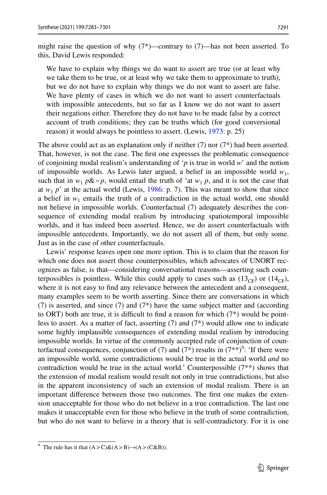might raise the question of why  $(7^*)$ —contrary to  $(7)$ —has not been asserted. To this, David Lewis responded:

We have to explain why things we do want to assert are true (or at least why we take them to be true, or at least why we take them to approximate to truth), but we do not have to explain why things we do not want to assert are false. We have plenty of cases in which we do not want to assert counterfactuals with impossible antecedents, but so far as I know we do not want to assert their negations either. Therefore they do not have to be made false by a correct account of truth conditions; they can be truths which (for good conversional reason) it would always be pointless to assert. (Lewis, [1973](#page-18-0): p. 25)

The above could act as an explanation only if neither  $(7)$  nor  $(7^*)$  had been asserted. That, however, is not the case. The frst one expresses the problematic consequence of conjoining modal realism's understanding of '*p* is true in world *w*' and the notion of impossible worlds. As Lewis later argued, a belief in an impossible world *w*1, such that in  $w_1 p\&\sim p$ , would entail the truth of 'at  $w_1 p$ , and it is not the case that at  $w_1$  *p*' at the actual world (Lewis, [1986:](#page-18-14) p. 7). This was meant to show that since a belief in  $w_1$  entails the truth of a contradiction in the actual world, one should not believe in impossible worlds. Counterfactual (7) adequately describes the consequence of extending modal realism by introducing spatiotemporal impossible worlds, and it has indeed been asserted. Hence, we do assert counterfactuals with impossible antecedents. Importantly, we do not assert all of them, but only some. Just as in the case of other counterfactuals.

Lewis' response leaves open one more option. This is to claim that the reason for which one does not assert those counterpossibles, which advocates of UNORT recognizes as false, is that—considering conversational reasons—asserting such counterpossibles is pointless. While this could apply to cases such as  $(13_{CF})$  or  $(14_{CF})$ , where it is not easy to fnd any relevance between the antecedent and a consequent, many examples seem to be worth asserting. Since there are conversations in which (7) is asserted, and since (7) and (7\*) have the same subject matter and (according to ORT) both are true, it is difficult to find a reason for which  $(7^*)$  would be pointless to assert. As a matter of fact, asserting  $(7)$  and  $(7^*)$  would allow one to indicate some highly implausible consequences of extending modal realism by introducing impossible worlds. In virtue of the commonly accepted rule of conjunction of coun-terfactual consequences, conjunction of (7) and (7\*) results in (7\*\*)<sup>[9](#page-8-0)</sup>: 'If there were an impossible world, some contradictions would be true in the actual world *and* no contradiction would be true in the actual world.' Counterpossible  $(7^{**})$  shows that the extension of modal realism would result not only in true contradictions, but also in the apparent inconsistency of such an extension of modal realism. There is an important diference between those two outcomes. The frst one makes the extension unacceptable for those who do not believe in a true contradiction. The last one makes it unacceptable even for those who believe in the truth of some contradiction, but who do not want to believe in a theory that is self-contradictory. For it is one

<span id="page-8-0"></span><sup>&</sup>lt;sup>9</sup> The rule has it that  $(A > C)$ & $(A > B) \rightarrow (A > (C \& B))$ .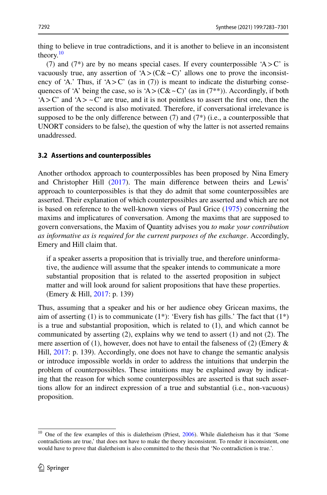thing to believe in true contradictions, and it is another to believe in an inconsistent theory. $10$ 

(7) and (7<sup>\*</sup>) are by no means special cases. If every counterpossible  $A > C'$  is vacuously true, any assertion of 'A>( $C&~C$ )' allows one to prove the inconsistency of 'A.' Thus, if 'A > C' (as in (7)) is meant to indicate the disturbing consequences of 'A' being the case, so is 'A>( $C&~C$ ' (as in (7\*\*)). Accordingly, if both  $A > C'$  and  $A > C'$  are true, and it is not pointless to assert the first one, then the assertion of the second is also motivated. Therefore, if conversational irrelevance is supposed to be the only difference between  $(7)$  and  $(7^*)$  (i.e., a counterpossible that UNORT considers to be false), the question of why the latter is not asserted remains unaddressed.

## <span id="page-9-0"></span>**3.2 Assertions and counterpossibles**

Another orthodox approach to counterpossibles has been proposed by Nina Emery and Christopher Hill [\(2017](#page-17-6)). The main diference between theirs and Lewis' approach to counterpossibles is that they do admit that some counterpossibles are asserted. Their explanation of which counterpossibles are asserted and which are not is based on reference to the well-known views of Paul Grice [\(1975](#page-18-23)) concerning the maxims and implicatures of conversation. Among the maxims that are supposed to govern conversations, the Maxim of Quantity advises you *to make your contribution as informative as is required for the current purposes of the exchange*. Accordingly, Emery and Hill claim that.

if a speaker asserts a proposition that is trivially true, and therefore uninformative, the audience will assume that the speaker intends to communicate a more substantial proposition that is related to the asserted proposition in subject matter and will look around for salient propositions that have these properties. (Emery & Hill, [2017:](#page-17-6) p. 139)

Thus, assuming that a speaker and his or her audience obey Gricean maxims, the aim of asserting (1) is to communicate  $(1^*)$ : 'Every fish has gills.' The fact that  $(1^*)$ is a true and substantial proposition, which is related to (1), and which cannot be communicated by asserting  $(2)$ , explains why we tend to assert  $(1)$  and not  $(2)$ . The mere assertion of (1), however, does not have to entail the falseness of (2) (Emery  $\&$ Hill, [2017:](#page-17-6) p. 139). Accordingly, one does not have to change the semantic analysis or introduce impossible worlds in order to address the intuitions that underpin the problem of counterpossibles. These intuitions may be explained away by indicating that the reason for which some counterpossibles are asserted is that such assertions allow for an indirect expression of a true and substantial (i.e., non-vacuous) proposition.

<span id="page-9-1"></span><sup>&</sup>lt;sup>10</sup> One of the few examples of this is dialetheism (Priest, [2006](#page-18-24)). While dialetheism has it that 'Some contradictions are true,' that does not have to make the theory inconsistent. To render it inconsistent, one would have to prove that dialetheism is also committed to the thesis that 'No contradiction is true.'.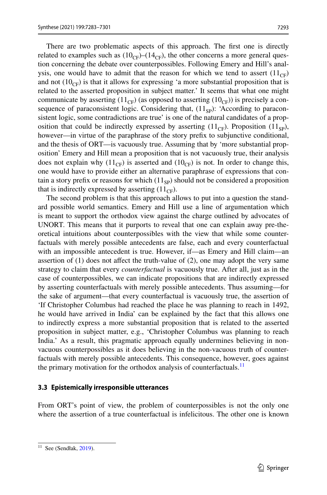There are two problematic aspects of this approach. The frst one is directly related to examples such as  $(10_{CF})$ – $(14_{CF})$ , the other concerns a more general question concerning the debate over counterpossibles. Following Emery and Hill's analysis, one would have to admit that the reason for which we tend to assert  $(11_{CF})$ and not  $(10<sub>CF</sub>)$  is that it allows for expressing 'a more substantial proposition that is related to the asserted proposition in subject matter.' It seems that what one might communicate by asserting  $(11_{CF})$  (as opposed to asserting  $(10_{CF})$ ) is precisely a consequence of paraconsistent logic. Considering that,  $(11_{SP})$ : 'According to paraconsistent logic, some contradictions are true' is one of the natural candidates of a proposition that could be indirectly expressed by asserting  $(11_{CF})$ . Proposition  $(11_{SP})$ , however—in virtue of the paraphrase of the story prefx to subjunctive conditional, and the thesis of ORT—is vacuously true. Assuming that by 'more substantial proposition' Emery and Hill mean a proposition that is not vacuously true, their analysis does not explain why  $(11_{CF})$  is asserted and  $(10_{CF})$  is not. In order to change this, one would have to provide either an alternative paraphrase of expressions that contain a story prefix or reasons for which  $(11_{SP})$  should not be considered a proposition that is indirectly expressed by asserting  $(11_{CF})$ .

The second problem is that this approach allows to put into a question the standard possible world semantics. Emery and Hill use a line of argumentation which is meant to support the orthodox view against the charge outlined by advocates of UNORT. This means that it purports to reveal that one can explain away pre-theoretical intuitions about counterpossibles with the view that while some counterfactuals with merely possible antecedents are false, each and every counterfactual with an impossible antecedent is true. However, if—as Emery and Hill claim—an assertion of  $(1)$  does not affect the truth-value of  $(2)$ , one may adopt the very same strategy to claim that every *counterfactual* is vacuously true. After all, just as in the case of counterpossibles, we can indicate propositions that are indirectly expressed by asserting counterfactuals with merely possible antecedents. Thus assuming—for the sake of argument—that every counterfactual is vacuously true, the assertion of 'If Christopher Columbus had reached the place he was planning to reach in 1492, he would have arrived in India' can be explained by the fact that this allows one to indirectly express a more substantial proposition that is related to the asserted proposition in subject matter, e.g., 'Christopher Columbus was planning to reach India.' As a result, this pragmatic approach equally undermines believing in nonvacuous counterpossibles as it does believing in the non-vacuous truth of counterfactuals with merely possible antecedents. This consequence, however, goes against the primary motivation for the orthodox analysis of counterfactuals.<sup>[11](#page-10-1)</sup>

#### <span id="page-10-0"></span>**3.3 Epistemically irresponsible utterances**

From ORT's point of view, the problem of counterpossibles is not the only one where the assertion of a true counterfactual is infelicitous. The other one is known

<span id="page-10-1"></span> $11$  See (Sendłak, [2019\)](#page-18-25).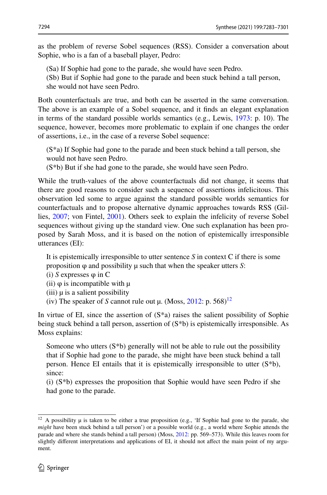as the problem of reverse Sobel sequences (RSS). Consider a conversation about Sophie, who is a fan of a baseball player, Pedro:

(Sa) If Sophie had gone to the parade, she would have seen Pedro.

(Sb) But if Sophie had gone to the parade and been stuck behind a tall person, she would not have seen Pedro.

Both counterfactuals are true, and both can be asserted in the same conversation. The above is an example of a Sobel sequence, and it fnds an elegant explanation in terms of the standard possible worlds semantics (e.g., Lewis, [1973](#page-18-0): p. 10). The sequence, however, becomes more problematic to explain if one changes the order of assertions, i.e., in the case of a reverse Sobel sequence:

(S\*a) If Sophie had gone to the parade and been stuck behind a tall person, she would not have seen Pedro.

(S\*b) But if she had gone to the parade, she would have seen Pedro.

While the truth-values of the above counterfactuals did not change, it seems that there are good reasons to consider such a sequence of assertions infelicitous. This observation led some to argue against the standard possible worlds semantics for counterfactuals and to propose alternative dynamic approaches towards RSS (Gillies, [2007;](#page-18-26) von Fintel, [2001\)](#page-18-27). Others seek to explain the infelicity of reverse Sobel sequences without giving up the standard view. One such explanation has been proposed by Sarah Moss, and it is based on the notion of epistemically irresponsible utterances (EI):

It is epistemically irresponsible to utter sentence *S* in context C if there is some proposition φ and possibility µ such that when the speaker utters *S*:

- (i) *S* expresses φ in C
- (ii)  $\varphi$  is incompatible with  $\mu$
- $(iii)$   $\mu$  is a salient possibility
- (iv) The speaker of *S* cannot rule out  $\mu$ . (Moss, [2012](#page-18-28): p. 568)<sup>[12](#page-11-0)</sup>

In virtue of EI, since the assertion of  $(S^*a)$  raises the salient possibility of Sophie being stuck behind a tall person, assertion of  $(S^*b)$  is epistemically irresponsible. As Moss explains:

Someone who utters  $(S^*b)$  generally will not be able to rule out the possibility that if Sophie had gone to the parade, she might have been stuck behind a tall person. Hence EI entails that it is epistemically irresponsible to utter (S\*b), since:

(i)  $(S^*b)$  expresses the proposition that Sophie would have seen Pedro if she had gone to the parade.

<span id="page-11-0"></span> $12$  A possibility  $\mu$  is taken to be either a true proposition (e.g., 'If Sophie had gone to the parade, she *might* have been stuck behind a tall person') or a possible world (e.g., a world where Sophie attends the parade and where she stands behind a tall person) (Moss, [2012](#page-18-28): pp. 569–573). While this leaves room for slightly diferent interpretations and applications of EI, it should not afect the main point of my argument.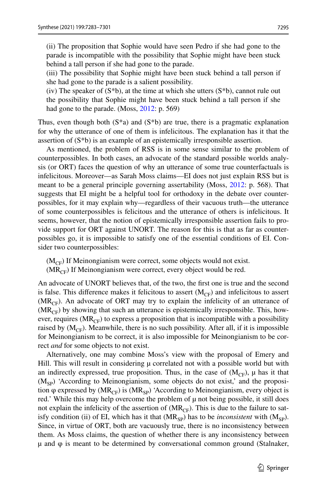(ii) The proposition that Sophie would have seen Pedro if she had gone to the parade is incompatible with the possibility that Sophie might have been stuck behind a tall person if she had gone to the parade.

(iii) The possibility that Sophie might have been stuck behind a tall person if she had gone to the parade is a salient possibility.

(iv) The speaker of  $(S^*b)$ , at the time at which she utters  $(S^*b)$ , cannot rule out the possibility that Sophie might have been stuck behind a tall person if she had gone to the parade. (Moss, [2012:](#page-18-28) p. 569)

Thus, even though both  $(S^*a)$  and  $(S^*b)$  are true, there is a pragmatic explanation for why the utterance of one of them is infelicitous. The explanation has it that the assertion of (S\*b) is an example of an epistemically irresponsible assertion.

As mentioned, the problem of RSS is in some sense similar to the problem of counterpossibles. In both cases, an advocate of the standard possible worlds analysis (or ORT) faces the question of why an utterance of some true counterfactuals is infelicitous. Moreover—as Sarah Moss claims—EI does not just explain RSS but is meant to be a general principle governing assertability (Moss, [2012:](#page-18-28) p. 568). That suggests that EI might be a helpful tool for orthodoxy in the debate over counterpossibles, for it may explain why—regardless of their vacuous truth—the utterance of some counterpossibles is felicitous and the utterance of others is infelicitous. It seems, however, that the notion of epistemically irresponsible assertion fails to provide support for ORT against UNORT. The reason for this is that as far as counterpossibles go, it is impossible to satisfy one of the essential conditions of EI. Consider two counterpossibles:

 $(M<sub>CF</sub>)$  If Meinongianism were correct, some objects would not exist.

 $(MR<sub>CF</sub>)$  If Meinongianism were correct, every object would be red.

An advocate of UNORT believes that, of the two, the frst one is true and the second is false. This difference makes it felicitous to assert  $(M_{CF})$  and infelicitous to assert  $(MR<sub>CF</sub>)$ . An advocate of ORT may try to explain the infelicity of an utterance of  $(MR<sub>CF</sub>)$  by showing that such an utterance is epistemically irresponsible. This, however, requires ( $MR_{CF}$ ) to express a proposition that is incompatible with a possibility raised by  $(M_{CF})$ . Meanwhile, there is no such possibility. After all, if it is impossible for Meinongianism to be correct, it is also impossible for Meinongianism to be correct *and* for some objects to not exist.

Alternatively, one may combine Moss's view with the proposal of Emery and Hill. This will result in considering  $\mu$  correlated not with a possible world but with an indirectly expressed, true proposition. Thus, in the case of  $(M_{CF})$ ,  $\mu$  has it that  $(M_{SP})$  'According to Meinongianism, some objects do not exist,' and the proposition  $\varphi$  expressed by (MR<sub>CF</sub>) is (MR<sub>SP</sub>) 'According to Meinongianism, every object is red.' While this may help overcome the problem of  $\mu$  not being possible, it still does not explain the infelicity of the assertion of  $(MR_{CF})$ . This is due to the failure to satisfy condition (ii) of EI, which has it that  $(MR_{SP})$  has to be *inconsistent* with  $(M_{SP})$ . Since, in virtue of ORT, both are vacuously true, there is no inconsistency between them. As Moss claims, the question of whether there is any inconsistency between  $\mu$  and  $\varphi$  is meant to be determined by conversational common ground (Stalnaker,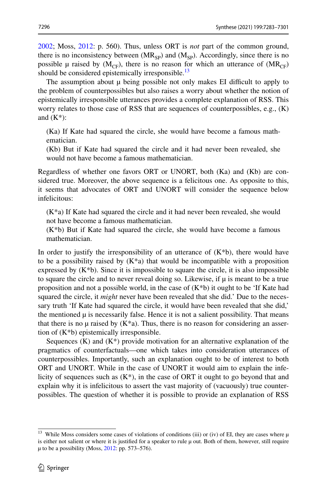[2002](#page-18-29); Moss, [2012](#page-18-28): p. 560). Thus, unless ORT is *not* part of the common ground, there is no inconsistency between  $(MR_{SP})$  and  $(M_{SP})$ . Accordingly, since there is no possible  $\mu$  raised by (M<sub>CF</sub>), there is no reason for which an utterance of (MR<sub>CF</sub>) should be considered epistemically irresponsible. $^{13}$  $^{13}$  $^{13}$ 

The assumption about  $\mu$  being possible not only makes EI difficult to apply to the problem of counterpossibles but also raises a worry about whether the notion of epistemically irresponsible utterances provides a complete explanation of RSS. This worry relates to those case of RSS that are sequences of counterpossibles, e.g., (K) and  $(K^*)$ :

(Ka) If Kate had squared the circle, she would have become a famous mathematician.

(Kb) But if Kate had squared the circle and it had never been revealed, she would not have become a famous mathematician.

Regardless of whether one favors ORT or UNORT, both (Ka) and (Kb) are considered true. Moreover, the above sequence is a felicitous one. As opposite to this, it seems that advocates of ORT and UNORT will consider the sequence below infelicitous:

(K\*a) If Kate had squared the circle and it had never been revealed, she would not have become a famous mathematician.

(K\*b) But if Kate had squared the circle, she would have become a famous mathematician.

In order to justify the irresponsibility of an utterance of  $(K^*b)$ , there would have to be a possibility raised by  $(K^*a)$  that would be incompatible with a proposition expressed by  $(K * b)$ . Since it is impossible to square the circle, it is also impossible to square the circle and to never reveal doing so. Likewise, if  $\mu$  is meant to be a true proposition and not a possible world, in the case of  $(K^*b)$  it ought to be 'If Kate had squared the circle, it *might* never have been revealed that she did.' Due to the necessary truth 'If Kate had squared the circle, it would have been revealed that she did,' the mentioned  $\mu$  is necessarily false. Hence it is not a salient possibility. That means that there is no  $\mu$  raised by  $(K^*a)$ . Thus, there is no reason for considering an assertion of (K\*b) epistemically irresponsible.

Sequences  $(K)$  and  $(K^*)$  provide motivation for an alternative explanation of the pragmatics of counterfactuals—one which takes into consideration utterances of counterpossibles. Importantly, such an explanation ought to be of interest to both ORT and UNORT. While in the case of UNORT it would aim to explain the infelicity of sequences such as  $(K^*)$ , in the case of ORT it ought to go beyond that and explain why it is infelicitous to assert the vast majority of (vacuously) true counterpossibles. The question of whether it is possible to provide an explanation of RSS

<span id="page-13-0"></span><sup>&</sup>lt;sup>13</sup> While Moss considers some cases of violations of conditions (iii) or (iv) of EI, they are cases where  $\mu$ is either not salient or where it is justifed for a speaker to rule µ out. Both of them, however, still require µ to be a possibility (Moss, [2012:](#page-18-28) pp. 573–576).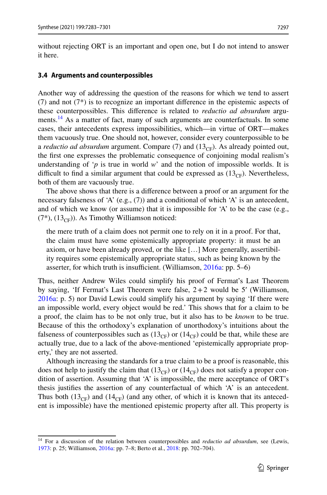without rejecting ORT is an important and open one, but I do not intend to answer it here.

#### <span id="page-14-0"></span>**3.4 Arguments and counterpossibles**

Another way of addressing the question of the reasons for which we tend to assert (7) and not (7\*) is to recognize an important diference in the epistemic aspects of these counterpossibles. This diference is related to *reductio ad absurdum* arguments.<sup>14</sup> As a matter of fact, many of such arguments are counterfactuals. In some cases, their antecedents express impossibilities, which—in virtue of ORT—makes them vacuously true. One should not, however, consider every counterpossible to be a *reductio ad absurdum* argument. Compare (7) and ( $13<sub>CF</sub>$ ). As already pointed out, the frst one expresses the problematic consequence of conjoining modal realism's understanding of ' $p$  is true in world  $w$ ' and the notion of impossible worlds. It is difficult to find a similar argument that could be expressed as  $(13<sub>CF</sub>)$ . Nevertheless, both of them are vacuously true.

The above shows that there is a diference between a proof or an argument for the necessary falseness of 'A' (e.g.,  $(7)$ ) and a conditional of which 'A' is an antecedent, and of which we know (or assume) that it is impossible for  $A'$  to be the case (e.g.,  $(7^*)$ ,  $(13_{CF})$ ). As Timothy Williamson noticed:

the mere truth of a claim does not permit one to rely on it in a proof. For that, the claim must have some epistemically appropriate property: it must be an axiom, or have been already proved, or the like […] More generally, assertibility requires some epistemically appropriate status, such as being known by the asserter, for which truth is insufficient. (Williamson,  $2016a$ : pp. 5–6)

Thus, neither Andrew Wiles could simplify his proof of Fermat's Last Theorem by saying, 'If Fermat's Last Theorem were false,  $2+2$  would be 5' (Williamson, [2016a](#page-18-2): p. 5) nor David Lewis could simplify his argument by saying 'If there were an impossible world, every object would be red.' This shows that for a claim to be a proof, the claim has to be not only true, but it also has to be *known* to be true. Because of this the orthodoxy's explanation of unorthodoxy's intuitions about the falseness of counterpossibles such as  $(13_{CF})$  or  $(14_{CF})$  could be that, while these are actually true, due to a lack of the above-mentioned 'epistemically appropriate property,' they are not asserted.

Although increasing the standards for a true claim to be a proof is reasonable, this does not help to justify the claim that  $(13_{CF})$  or  $(14_{CF})$  does not satisfy a proper condition of assertion. Assuming that 'A' is impossible, the mere acceptance of ORT's thesis justifes the assertion of any counterfactual of which 'A' is an antecedent. Thus both (13<sub>CF</sub>) and (14<sub>CF</sub>) (and any other, of which it is known that its antecedent is impossible) have the mentioned epistemic property after all. This property is

<span id="page-14-1"></span><sup>&</sup>lt;sup>14</sup> For a discussion of the relation between counterpossibles and *reductio ad absurdum*, see (Lewis, [1973](#page-18-0): p. 25; Williamson, [2016a](#page-18-2): pp. 7–8; Berto et al., [2018](#page-17-0): pp. 702–704).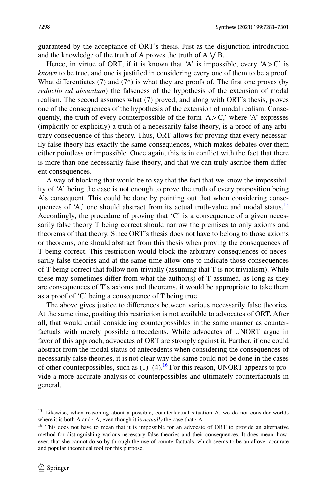guaranteed by the acceptance of ORT's thesis. Just as the disjunction introduction and the knowledge of the truth of A proves the truth of  $A \vee B$ .

Hence, in virtue of ORT, if it is known that 'A' is impossible, every 'A $>$ C' is *known* to be true, and one is justifed in considering every one of them to be a proof. What differentiates  $(7)$  and  $(7^*)$  is what they are proofs of. The first one proves (by *reductio ad absurdum*) the falseness of the hypothesis of the extension of modal realism. The second assumes what (7) proved, and along with ORT's thesis, proves one of the consequences of the hypothesis of the extension of modal realism. Consequently, the truth of every counterpossible of the form 'A $>$ C,' where 'A' expresses (implicitly or explicitly) a truth of a necessarily false theory, is a proof of any arbitrary consequence of this theory. Thus, ORT allows for proving that every necessarily false theory has exactly the same consequences, which makes debates over them either pointless or impossible. Once again, this is in confict with the fact that there is more than one necessarily false theory, and that we can truly ascribe them diferent consequences.

A way of blocking that would be to say that the fact that we know the impossibility of 'A' being the case is not enough to prove the truth of every proposition being A's consequent. This could be done by pointing out that when considering consequences of 'A,' one should abstract from its actual truth-value and modal status.<sup>15</sup> Accordingly, the procedure of proving that 'C' is a consequence of a given necessarily false theory T being correct should narrow the premises to only axioms and theorems of that theory. Since ORT's thesis does not have to belong to those axioms or theorems, one should abstract from this thesis when proving the consequences of T being correct. This restriction would block the arbitrary consequences of necessarily false theories and at the same time allow one to indicate those consequences of T being correct that follow non-trivially (assuming that T is not trivialism). While these may sometimes differ from what the author(s) of  $T$  assumed, as long as they are consequences of T's axioms and theorems, it would be appropriate to take them as a proof of 'C' being a consequence of T being true.

The above gives justice to diferences between various necessarily false theories. At the same time, positing this restriction is not available to advocates of ORT. After all, that would entail considering counterpossibles in the same manner as counterfactuals with merely possible antecedents. While advocates of UNORT argue in favor of this approach, advocates of ORT are strongly against it. Further, if one could abstract from the modal status of antecedents when considering the consequences of necessarily false theories, it is not clear why the same could not be done in the cases of other counterpossibles, such as  $(1)$ – $(4)$ .<sup>16</sup> For this reason, UNORT appears to provide a more accurate analysis of counterpossibles and ultimately counterfactuals in general.

<span id="page-15-0"></span><sup>&</sup>lt;sup>15</sup> Likewise, when reasoning about a possible, counterfactual situation A, we do not consider worlds where it is both A and~A, even though it is *actually* the case that~A.

<span id="page-15-1"></span><sup>&</sup>lt;sup>16</sup> This does not have to mean that it is impossible for an advocate of ORT to provide an alternative method for distinguishing various necessary false theories and their consequences. It does mean, however, that she cannot do so by through the use of counterfactuals, which seems to be an allover accurate and popular theoretical tool for this purpose.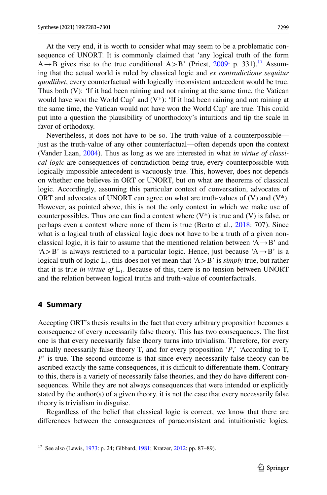At the very end, it is worth to consider what may seem to be a problematic consequence of UNORT. It is commonly claimed that 'any logical truth of the form  $A \rightarrow B$  gives rise to the true conditional  $A > B'$  (Priest, [2009:](#page-18-4) p. 331).<sup>[17](#page-16-0)</sup> Assuming that the actual world is ruled by classical logic and *ex contradictione sequitur quodlibet*, every counterfactual with logically inconsistent antecedent would be true. Thus both (V): 'If it had been raining and not raining at the same time, the Vatican would have won the World Cup' and  $(V^*)$ : 'If it had been raining and not raining at the same time, the Vatican would not have won the World Cup' are true. This could put into a question the plausibility of unorthodoxy's intuitions and tip the scale in favor of orthodoxy.

Nevertheless, it does not have to be so. The truth-value of a counterpossible just as the truth-value of any other counterfactual—often depends upon the context (Vander Laan, [2004\)](#page-18-30). Thus as long as we are interested in what *in virtue of classical logic* are consequences of contradiction being true, every counterpossible with logically impossible antecedent is vacuously true. This, however, does not depends on whether one believes in ORT or UNORT, but on what are theorems of classical logic. Accordingly, assuming this particular context of conversation, advocates of ORT and advocates of UNORT can agree on what are truth-values of  $(V)$  and  $(V^*)$ . However, as pointed above, this is not the only context in which we make use of counterpossibles. Thus one can find a context where  $(V^*)$  is true and  $(V)$  is false, or perhaps even a context where none of them is true (Berto et al., [2018](#page-17-0): 707). Since what is a logical truth of classical logic does not have to be a truth of a given nonclassical logic, it is fair to assume that the mentioned relation between  $A \rightarrow B'$  and  $A > B'$  is always restricted to a particular logic. Hence, just because  $A \rightarrow B'$  is a logical truth of logic  $L_1$ , this does not yet mean that 'A > B' is *simply* true, but rather that it is true *in virtue of*  $L_1$ . Because of this, there is no tension between UNORT and the relation between logical truths and truth-value of counterfactuals.

#### **4 Summary**

Accepting ORT's thesis results in the fact that every arbitrary proposition becomes a consequence of every necessarily false theory. This has two consequences. The frst one is that every necessarily false theory turns into trivialism. Therefore, for every actually necessarily false theory T, and for every proposition '*P*,' 'According to T, *P*' is true. The second outcome is that since every necessarily false theory can be ascribed exactly the same consequences, it is difficult to differentiate them. Contrary to this, there is a variety of necessarily false theories, and they do have diferent consequences. While they are not always consequences that were intended or explicitly stated by the author(s) of a given theory, it is not the case that every necessarily false theory is trivialism in disguise.

Regardless of the belief that classical logic is correct, we know that there are diferences between the consequences of paraconsistent and intuitionistic logics.

<span id="page-16-0"></span><sup>&</sup>lt;sup>17</sup> See also (Lewis, [1973](#page-18-0): p. 24; Gibbard, [1981;](#page-18-31) Kratzer, [2012:](#page-18-32) pp. 87-89).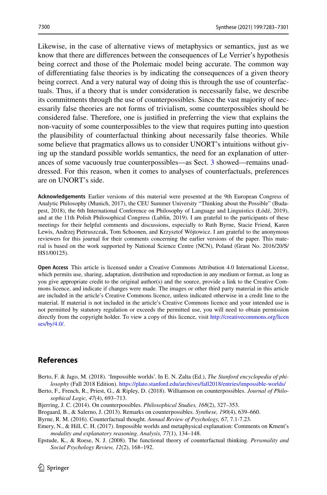Likewise, in the case of alternative views of metaphysics or semantics, just as we know that there are diferences between the consequences of Le Verrier's hypothesis being correct and those of the Ptolemaic model being accurate. The common way of diferentiating false theories is by indicating the consequences of a given theory being correct. And a very natural way of doing this is through the use of counterfactuals. Thus, if a theory that is under consideration is necessarily false, we describe its commitments through the use of counterpossibles. Since the vast majority of necessarily false theories are not forms of trivialism, some counterpossibles should be considered false. Therefore, one is justifed in preferring the view that explains the non-vacuity of some counterpossibles to the view that requires putting into question the plausibility of counterfactual thinking about necessarily false theories. While some believe that pragmatics allows us to consider UNORT's intuitions without giving up the standard possible worlds semantics, the need for an explanation of utterances of some vacuously true counterpossibles—as Sect. [3](#page-5-0) showed—remains unaddressed. For this reason, when it comes to analyses of counterfactuals, preferences are on UNORT's side.

**Acknowledgements** Earlier versions of this material were presented at the 9th European Congress of Analytic Philosophy (Munich, 2017), the CEU Summer University "Thinking about the Possible" (Budapest, 2018), the 6th International Conference on Philosophy of Language and Linguistics (Łódź, 2019), and at the 11th Polish Philosophical Congress (Lublin, 2019). I am grateful to the participants of these meetings for their helpful comments and discussions, especially to Ruth Byrne, Stacie Friend, Karen Lewis, Andrzej Pietruszczak, Tom Schoonen, and Krzysztof Wójtowicz. I am grateful to the anonymous reviewers for this journal for their comments concerning the earlier versions of the paper. This material is based on the work supported by National Science Centre (NCN), Poland (Grant No. 2016/20/S/ HS1/00125).

**Open Access** This article is licensed under a Creative Commons Attribution 4.0 International License, which permits use, sharing, adaptation, distribution and reproduction in any medium or format, as long as you give appropriate credit to the original author(s) and the source, provide a link to the Creative Commons licence, and indicate if changes were made. The images or other third party material in this article are included in the article's Creative Commons licence, unless indicated otherwise in a credit line to the material. If material is not included in the article's Creative Commons licence and your intended use is not permitted by statutory regulation or exceeds the permitted use, you will need to obtain permission directly from the copyright holder. To view a copy of this licence, visit [http://creativecommons.org/licen](http://creativecommons.org/licenses/by/4.0/) [ses/by/4.0/](http://creativecommons.org/licenses/by/4.0/).

# **References**

- <span id="page-17-3"></span>Berto, F. & Jago, M. (2018). 'Impossible worlds'. In E. N. Zalta (Ed.), *The Stanford encyclopedia of philosophy* (Fall 2018 Edition).<https://plato.stanford.edu/archives/fall2018/entries/impossible-worlds/>
- <span id="page-17-0"></span>Berto, F., French, R., Priest, G., & Ripley, D. (2018). Williamson on counterpossibles. *Journal of Philosophical Logic, 47*(4), 693–713.
- <span id="page-17-2"></span>Bjerring, J. C. (2014). On counterpossibles. *Philosophical Studies, 168*(2), 327–353.
- <span id="page-17-1"></span>Brogaard, B., & Salerno, J. (2013). Remarks on counterpossibles. *Synthese, 190*(4), 639–660.
- <span id="page-17-4"></span>Byrne, R. M. (2016). Counterfactual thought. *Annual Review of Psychology, 67,* 7.1-7.23.
- <span id="page-17-6"></span>Emery, N., & Hill, C. H. (2017). Impossible worlds and metaphysical explanation: Comments on Kment's *modality and explanatory reasoning*. *Analysis, 77*(1), 134–148.
- <span id="page-17-5"></span>Epstude, K., & Roese, N. J. (2008). The functional theory of counterfactual thinking. *Personality and Social Psychology Review, 12*(2), 168–192.